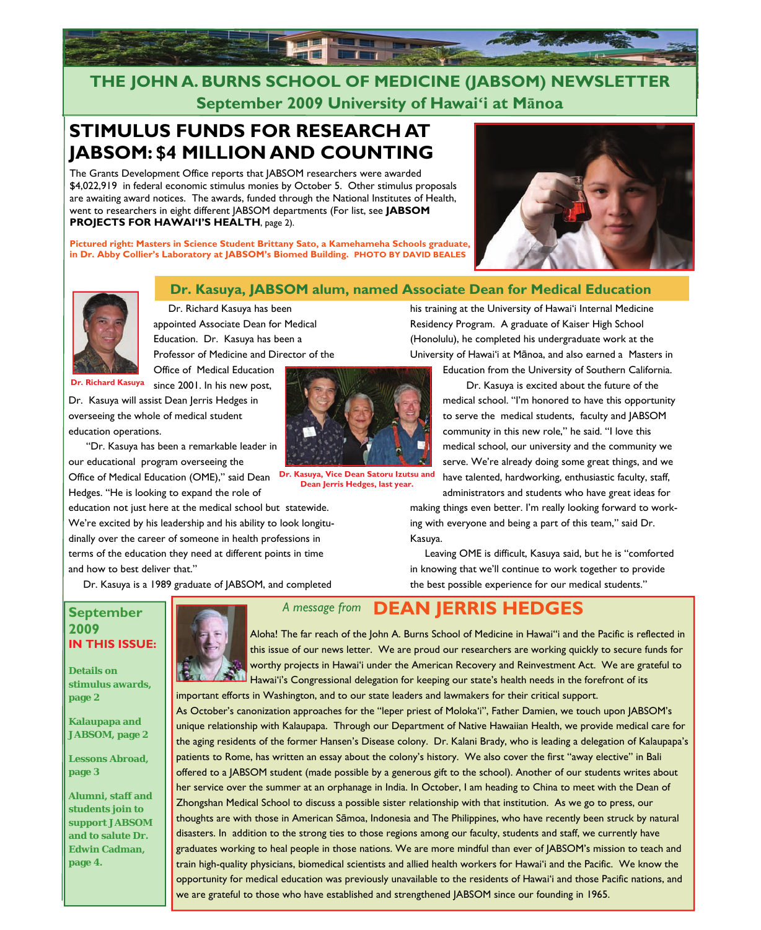

## **THE JOHN A. BURNS SCHOOL OF MEDICINE (JABSOM) NEWSLETTER September 2009 University of Hawai'i at Mānoa**

## **STIMULUS FUNDS FOR RESEARCH AT JABSOM: \$4 MILLION AND COUNTING**

The Grants Development Office reports that JABSOM researchers were awarded \$4,022,919 in federal economic stimulus monies by October 5. Other stimulus proposals are awaiting award notices. The awards, funded through the National Institutes of Health, went to researchers in eight different JABSOM departments (For list, see **JABSOM PROJECTS FOR HAWAI'I'S HEALTH**, page 2).

**Pictured right: Masters in Science Student Brittany Sato, a Kamehameha Schools graduate, in Dr. Abby Collier's Laboratory at JABSOM's Biomed Building. PHOTO BY DAVID BEALES**